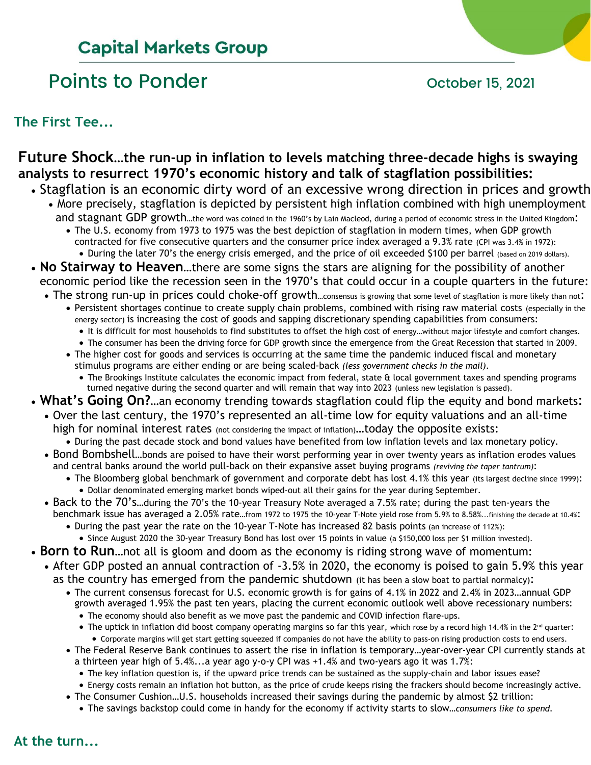## **Capital Markets Group**

# Points to Ponder **Points** to Ponder **Points** to Ponder

**The First Tee...**

### **Future Shock…the run-up in inflation to levels matching three-decade highs is swaying analysts to resurrect 1970's economic history and talk of stagflation possibilities:**

- Stagflation is an economic dirty word of an excessive wrong direction in prices and growth • More precisely, stagflation is depicted by persistent high inflation combined with high unemployment
	- and stagnant GDP growth...the word was coined in the 1960's by Lain Macleod, during a period of economic stress in the United Kingdom: • The U.S. economy from 1973 to 1975 was the best depiction of stagflation in modern times, when GDP growth contracted for five consecutive quarters and the consumer price index averaged a 9.3% rate (CPI was 3.4% in 1972):
	- During the later 70's the energy crisis emerged, and the price of oil exceeded \$100 per barrel (based on 2019 dollars).
- **No Stairway to Heaven**…there are some signs the stars are aligning for the possibility of another economic period like the recession seen in the 1970's that could occur in a couple quarters in the future:
	- The strong run-up in prices could choke-off growth...consensus is growing that some level of stagflation is more likely than not:
		- Persistent shortages continue to create supply chain problems, combined with rising raw material costs (especially in the energy sector) is increasing the cost of goods and sapping discretionary spending capabilities from consumers:
			- It is difficult for most households to find substitutes to offset the high cost of energy…without major lifestyle and comfort changes.
			- The consumer has been the driving force for GDP growth since the emergence from the Great Recession that started in 2009.
		- The higher cost for goods and services is occurring at the same time the pandemic induced fiscal and monetary stimulus programs are either ending or are being scaled-back *(less government checks in the mail)*.
			- The Brookings Institute calculates the economic impact from federal, state & local government taxes and spending programs turned negative during the second quarter and will remain that way into 2023 (unless new legislation is passed).
- **What's Going On?**…an economy trending towards stagflation could flip the equity and bond markets:
	- Over the last century, the 1970's represented an all-time low for equity valuations and an all-time high for nominal interest rates (not considering the impact of inflation)...today the opposite exists:
		- During the past decade stock and bond values have benefited from low inflation levels and lax monetary policy.
	- Bond Bombshell…bonds are poised to have their worst performing year in over twenty years as inflation erodes values and central banks around the world pull-back on their expansive asset buying programs *(reviving the taper tantrum)*:
		- The Bloomberg global benchmark of government and corporate debt has lost 4.1% this year (its largest decline since 1999): • Dollar denominated emerging market bonds wiped-out all their gains for the year during September.
	- Back to the 70's…during the 70's the 10-year Treasury Note averaged a 7.5% rate; during the past ten-years the benchmark issue has averaged a 2.05% rate…from 1972 to 1975 the 10-year T-Note yield rose from 5.9% to 8.58%...finishing the decade at 10.4%:
		- During the past year the rate on the 10-year T-Note has increased 82 basis points (an increase of 112%):
		- Since August 2020 the 30-year Treasury Bond has lost over 15 points in value (a \$150,000 loss per \$1 million invested).
- **Born to Run**…not all is gloom and doom as the economy is riding strong wave of momentum:
	- After GDP posted an annual contraction of -3.5% in 2020, the economy is poised to gain 5.9% this year as the country has emerged from the pandemic shutdown (it has been a slow boat to partial normalcy):
		- The current consensus forecast for U.S. economic growth is for gains of 4.1% in 2022 and 2.4% in 2023…annual GDP growth averaged 1.95% the past ten years, placing the current economic outlook well above recessionary numbers:
			- The economy should also benefit as we move past the pandemic and COVID infection flare-ups.
			- The uptick in inflation did boost company operating margins so far this year, which rose by a record high 14.4% in the  $2^{nd}$  quarter:
		- Corporate margins will get start getting squeezed if companies do not have the ability to pass-on rising production costs to end users. • The Federal Reserve Bank continues to assert the rise in inflation is temporary…year-over-year CPI currently stands at a thirteen year high of 5.4%...a year ago y-o-y CPI was +1.4% and two-years ago it was 1.7%:
			- The key inflation question is, if the upward price trends can be sustained as the supply-chain and labor issues ease?
			- Energy costs remain an inflation hot button, as the price of crude keeps rising the frackers should become increasingly active.
		- The Consumer Cushion…U.S. households increased their savings during the pandemic by almost \$2 trillion:
			- The savings backstop could come in handy for the economy if activity starts to slow*…consumers like to spend.*